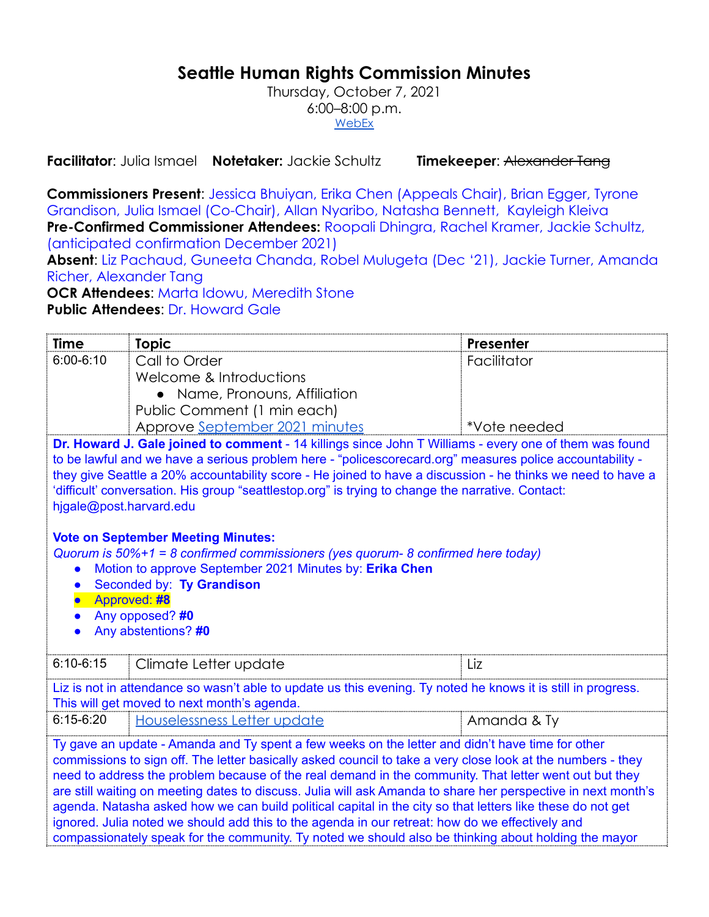# **Seattle Human Rights Commission Minutes**

Thursday, October 7, 2021 6:00–8:00 p.m. [WebEx](https://www.seattle.gov/humanrights/calendar)

**Facilitator**: Julia Ismael **Notetaker:** Jackie Schultz **Timekeeper**: Alexander Tang

**Commissioners Present**: Jessica Bhuiyan, Erika Chen (Appeals Chair), Brian Egger, Tyrone Grandison, Julia Ismael (Co-Chair), Allan Nyaribo, Natasha Bennett, Kayleigh Kleiva **Pre-Confirmed Commissioner Attendees:** Roopali Dhingra, Rachel Kramer, Jackie Schultz, (anticipated confirmation December 2021)

**Absent**: Liz Pachaud, Guneeta Chanda, Robel Mulugeta (Dec '21), Jackie Turner, Amanda Richer, Alexander Tang

**OCR Attendees: Marta Idowu, Meredith Stone** 

**Public Attendees**: Dr. Howard Gale

| Time                                                                                                                                                                                                                                                                                                                                                                                                                                                                                                                                                                                                                                                                                                                                                                | <b>Topic</b>                   | <b>Presenter</b> |  |  |
|---------------------------------------------------------------------------------------------------------------------------------------------------------------------------------------------------------------------------------------------------------------------------------------------------------------------------------------------------------------------------------------------------------------------------------------------------------------------------------------------------------------------------------------------------------------------------------------------------------------------------------------------------------------------------------------------------------------------------------------------------------------------|--------------------------------|------------------|--|--|
| $6:00 - 6:10$                                                                                                                                                                                                                                                                                                                                                                                                                                                                                                                                                                                                                                                                                                                                                       | Call to Order                  | Facilitator      |  |  |
|                                                                                                                                                                                                                                                                                                                                                                                                                                                                                                                                                                                                                                                                                                                                                                     | Welcome & Introductions        |                  |  |  |
|                                                                                                                                                                                                                                                                                                                                                                                                                                                                                                                                                                                                                                                                                                                                                                     | • Name, Pronouns, Affiliation  |                  |  |  |
|                                                                                                                                                                                                                                                                                                                                                                                                                                                                                                                                                                                                                                                                                                                                                                     | Public Comment (1 min each)    |                  |  |  |
|                                                                                                                                                                                                                                                                                                                                                                                                                                                                                                                                                                                                                                                                                                                                                                     | Approve September 2021 minutes | *Vote needed     |  |  |
| Dr. Howard J. Gale joined to comment - 14 killings since John T Williams - every one of them was found<br>to be lawful and we have a serious problem here - "policescorecard.org" measures police accountability -<br>they give Seattle a 20% accountability score - He joined to have a discussion - he thinks we need to have a<br>'difficult' conversation. His group "seattlestop.org" is trying to change the narrative. Contact:<br>hjgale@post.harvard.edu<br><b>Vote on September Meeting Minutes:</b><br>Quorum is $50\% + 1 = 8$ confirmed commissioners (yes quorum- 8 confirmed here today)<br>Motion to approve September 2021 Minutes by: Erika Chen<br>Seconded by: Ty Grandison<br>Approved: #8<br>Any opposed? #0<br>Any abstentions? #0           |                                |                  |  |  |
| $6:10-6:15$                                                                                                                                                                                                                                                                                                                                                                                                                                                                                                                                                                                                                                                                                                                                                         | Climate Letter update          | Liz              |  |  |
| Liz is not in attendance so wasn't able to update us this evening. Ty noted he knows it is still in progress.<br>This will get moved to next month's agenda.                                                                                                                                                                                                                                                                                                                                                                                                                                                                                                                                                                                                        |                                |                  |  |  |
| $6:15-6:20$                                                                                                                                                                                                                                                                                                                                                                                                                                                                                                                                                                                                                                                                                                                                                         | Houselessness Letter update    | Amanda & Ty      |  |  |
| Ty gave an update - Amanda and Ty spent a few weeks on the letter and didn't have time for other<br>commissions to sign off. The letter basically asked council to take a very close look at the numbers - they<br>need to address the problem because of the real demand in the community. That letter went out but they<br>are still waiting on meeting dates to discuss. Julia will ask Amanda to share her perspective in next month's<br>agenda. Natasha asked how we can build political capital in the city so that letters like these do not get<br>ignored. Julia noted we should add this to the agenda in our retreat: how do we effectively and<br>compassionately speak for the community. Ty noted we should also be thinking about holding the mayor |                                |                  |  |  |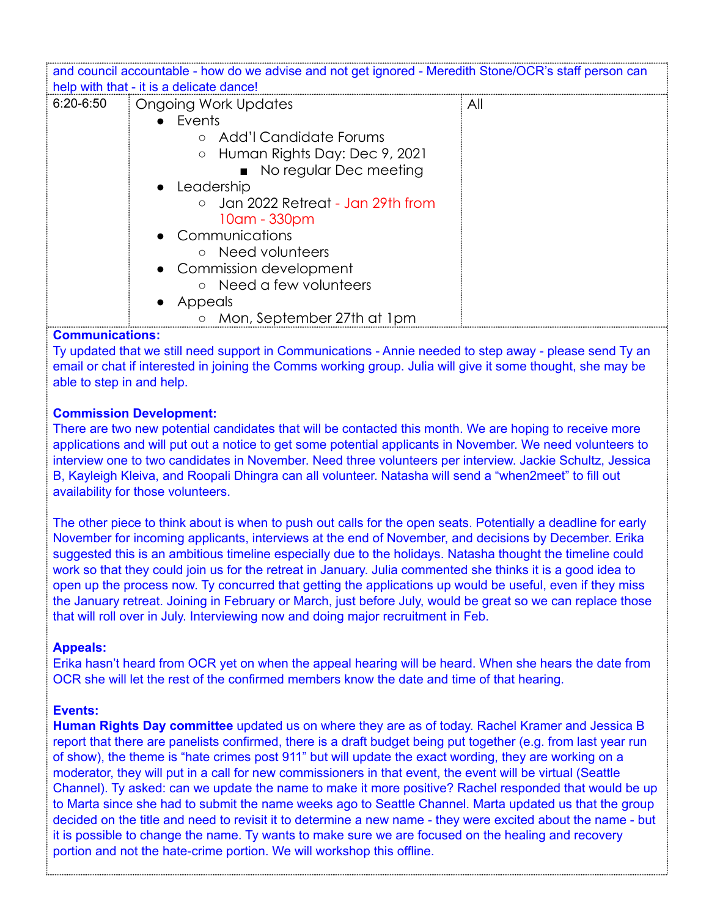| and council accountable - how do we advise and not get ignored - Meredith Stone/OCR's staff person can |                                    |     |  |  |
|--------------------------------------------------------------------------------------------------------|------------------------------------|-----|--|--|
| help with that - it is a delicate dance!                                                               |                                    |     |  |  |
|                                                                                                        |                                    |     |  |  |
| $6:20 - 6:50$                                                                                          | Ongoing Work Updates               | All |  |  |
|                                                                                                        | $\bullet$ Events                   |     |  |  |
|                                                                                                        | ○ Add'l Candidate Forums           |     |  |  |
|                                                                                                        | ○ Human Rights Day: Dec 9, 2021    |     |  |  |
|                                                                                                        | • No regular Dec meeting           |     |  |  |
|                                                                                                        | • Leadership                       |     |  |  |
|                                                                                                        | o Jan 2022 Retreat - Jan 29th from |     |  |  |
|                                                                                                        | 10am - 330pm                       |     |  |  |
|                                                                                                        | • Communications                   |     |  |  |
|                                                                                                        | ○ Need volunteers                  |     |  |  |
|                                                                                                        | • Commission development           |     |  |  |
|                                                                                                        | o Need a few volunteers            |     |  |  |
|                                                                                                        | Appeals                            |     |  |  |
|                                                                                                        | ○ Mon, September 27th at 1pm       |     |  |  |

## **Communications:**

Ty updated that we still need support in Communications - Annie needed to step away - please send Ty an email or chat if interested in joining the Comms working group. Julia will give it some thought, she may be able to step in and help.

### **Commission Development:**

There are two new potential candidates that will be contacted this month. We are hoping to receive more applications and will put out a notice to get some potential applicants in November. We need volunteers to interview one to two candidates in November. Need three volunteers per interview. Jackie Schultz, Jessica B, Kayleigh Kleiva, and Roopali Dhingra can all volunteer. Natasha will send a "when2meet" to fill out availability for those volunteers.

The other piece to think about is when to push out calls for the open seats. Potentially a deadline for early November for incoming applicants, interviews at the end of November, and decisions by December. Erika suggested this is an ambitious timeline especially due to the holidays. Natasha thought the timeline could work so that they could join us for the retreat in January. Julia commented she thinks it is a good idea to open up the process now. Ty concurred that getting the applications up would be useful, even if they miss the January retreat. Joining in February or March, just before July, would be great so we can replace those that will roll over in July. Interviewing now and doing major recruitment in Feb.

#### **Appeals:**

Erika hasn't heard from OCR yet on when the appeal hearing will be heard. When she hears the date from OCR she will let the rest of the confirmed members know the date and time of that hearing.

#### **Events:**

**Human Rights Day committee** updated us on where they are as of today. Rachel Kramer and Jessica B report that there are panelists confirmed, there is a draft budget being put together (e.g. from last year run of show), the theme is "hate crimes post 911" but will update the exact wording, they are working on a moderator, they will put in a call for new commissioners in that event, the event will be virtual (Seattle Channel). Ty asked: can we update the name to make it more positive? Rachel responded that would be up to Marta since she had to submit the name weeks ago to Seattle Channel. Marta updated us that the group decided on the title and need to revisit it to determine a new name - they were excited about the name - but it is possible to change the name. Ty wants to make sure we are focused on the healing and recovery portion and not the hate-crime portion. We will workshop this offline.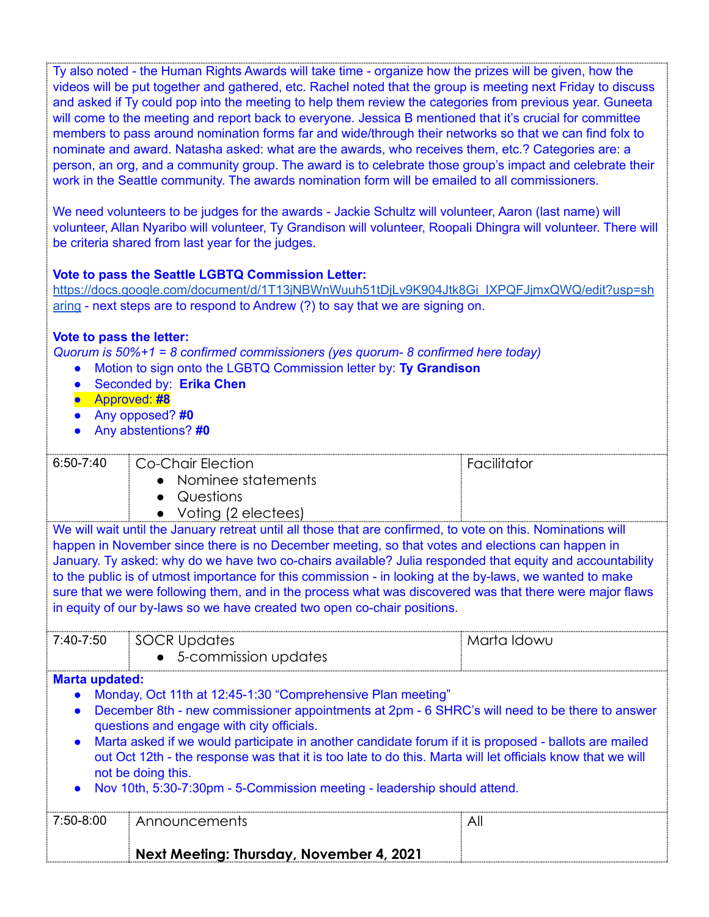Ty also noted - the Human Rights Awards will take time - organize how the prizes will be given, how the videos will be put together and gathered, etc. Rachel noted that the group is meeting next Friday to discuss and asked if Ty could pop into the meeting to help them review the categories from previous year. Guneeta will come to the meeting and report back to everyone. Jessica B mentioned that it's crucial for committee members to pass around nomination forms far and wide/through their networks so that we can find folx to nominate and award. Natasha asked: what are the awards, who receives them, etc.? Categories are: a person, an org, and a community group. The award is to celebrate those group's impact and celebrate their work in the Seattle community. The awards nomination form will be emailed to all commissioners.

We need volunteers to be judges for the awards - Jackie Schultz will volunteer, Aaron (last name) will volunteer, Allan Nyaribo will volunteer, Ty Grandison will volunteer, Roopali Dhingra will volunteer. There will be criteria shared from last year for the judges.

# **Vote to pass the Seattle LGBTQ Commission Letter:**

[https://docs.google.com/document/d/1T13jNBWnWuuh51tDjLv9K904Jtk8Gi\\_IXPQFJjmxQWQ/edit?usp=sh](https://docs.google.com/document/d/1T13jNBWnWuuh51tDjLv9K904Jtk8Gi_IXPQFJjmxQWQ/edit?usp=sharing) [aring](https://docs.google.com/document/d/1T13jNBWnWuuh51tDjLv9K904Jtk8Gi_IXPQFJjmxQWQ/edit?usp=sharing) - next steps are to respond to Andrew (?) to say that we are signing on.

# **Vote to pass the letter:**

*Quorum is 50%+1 = 8 confirmed commissioners (yes quorum- 8 confirmed here today)*

- Motion to sign onto the LGBTQ Commission letter by: **Ty Grandison**
- Seconded by: **Erika Chen**
- Approved: **#8**
- Any opposed? **#0**
- Any abstentions? **#0**

|                                                                                                                                                                                                                                                                                                                                                                                                                                                                                                                                                                                                                                   | Next Meeting: Thursday, November 4, 2021                     |             |  |  |
|-----------------------------------------------------------------------------------------------------------------------------------------------------------------------------------------------------------------------------------------------------------------------------------------------------------------------------------------------------------------------------------------------------------------------------------------------------------------------------------------------------------------------------------------------------------------------------------------------------------------------------------|--------------------------------------------------------------|-------------|--|--|
| 7:50-8:00                                                                                                                                                                                                                                                                                                                                                                                                                                                                                                                                                                                                                         | Announcements                                                | All         |  |  |
| <b>Marta updated:</b><br>Monday, Oct 11th at 12:45-1:30 "Comprehensive Plan meeting"<br>December 8th - new commissioner appointments at 2pm - 6 SHRC's will need to be there to answer<br>questions and engage with city officials.<br>Marta asked if we would participate in another candidate forum if it is proposed - ballots are mailed<br>out Oct 12th - the response was that it is too late to do this. Marta will let officials know that we will<br>not be doing this.<br>Nov 10th, 5:30-7:30pm - 5-Commission meeting - leadership should attend.                                                                      |                                                              |             |  |  |
| 7:40-7:50                                                                                                                                                                                                                                                                                                                                                                                                                                                                                                                                                                                                                         | SOCR Updates<br>• 5-commission updates                       | Marta Idowu |  |  |
| We will wait until the January retreat until all those that are confirmed, to vote on this. Nominations will<br>happen in November since there is no December meeting, so that votes and elections can happen in<br>January. Ty asked: why do we have two co-chairs available? Julia responded that equity and accountability<br>to the public is of utmost importance for this commission - in looking at the by-laws, we wanted to make<br>sure that we were following them, and in the process what was discovered was that there were major flaws<br>in equity of our by-laws so we have created two open co-chair positions. |                                                              |             |  |  |
|                                                                                                                                                                                                                                                                                                                                                                                                                                                                                                                                                                                                                                   | • Nominee statements<br>• Questions<br>• Voting (2 electees) |             |  |  |
| $6:50 - 7:40$                                                                                                                                                                                                                                                                                                                                                                                                                                                                                                                                                                                                                     | <b>Co-Chair Election</b>                                     | Facilitator |  |  |